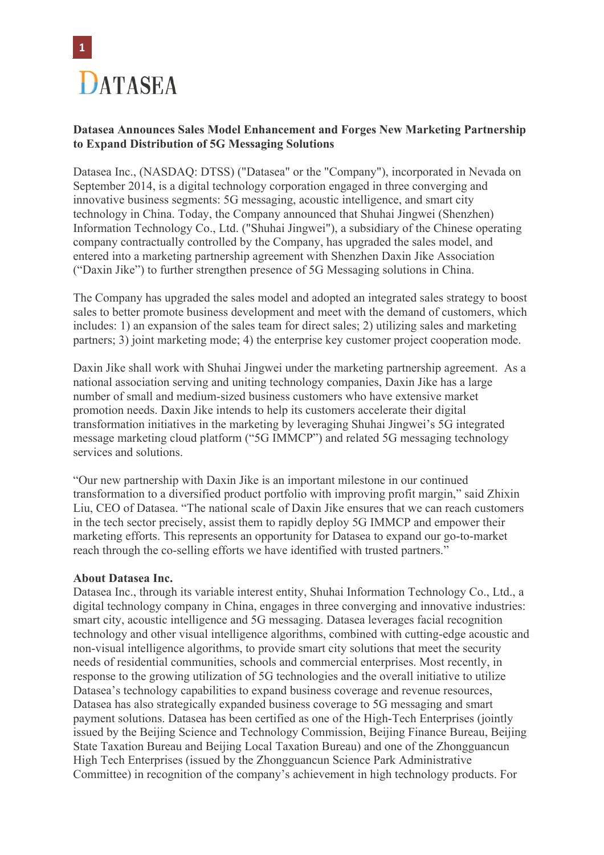

## **Datasea Announces Sales Model Enhancement and Forges New Marketing Partnership to Expand Distribution of 5G Messaging Solutions**

Datasea Inc., (NASDAQ: DTSS) ("Datasea" or the "Company"), incorporated in Nevada on September 2014, is a digital technology corporation engaged in three converging and innovative business segments: 5G messaging, acoustic intelligence, and smart city technology in China. Today, the Company announced that Shuhai Jingwei (Shenzhen) Information Technology Co., Ltd. ("Shuhai Jingwei"), a subsidiary of the Chinese operating company contractually controlled by the Company, has upgraded the sales model, and entered into a marketing partnership agreement with Shenzhen Daxin Jike Association ("Daxin Jike") to further strengthen presence of 5G Messaging solutions in China.

The Company has upgraded the sales model and adopted an integrated sales strategy to boost sales to better promote business development and meet with the demand of customers, which includes: 1) an expansion of the sales team for direct sales; 2) utilizing sales and marketing partners; 3) joint marketing mode; 4) the enterprise key customer project cooperation mode.

Daxin Jike shall work with Shuhai Jingwei under the marketing partnership agreement. As a national association serving and uniting technology companies, Daxin Jike has a large number of small and medium-sized business customers who have extensive market promotion needs. Daxin Jike intends to help its customers accelerate their digital transformation initiatives in the marketing by leveraging Shuhai Jingwei's 5G integrated message marketing cloud platform ("5G IMMCP") and related 5G messaging technology services and solutions.

"Our new partnership with Daxin Jike is an important milestone in our continued transformation to a diversified product portfolio with improving profit margin," said Zhixin Liu, CEO of Datasea. "The national scale of Daxin Jike ensures that we can reach customers in the tech sector precisely, assist them to rapidly deploy 5G IMMCP and empower their marketing efforts. This represents an opportunity for Datasea to expand our go-to-market reach through the co-selling efforts we have identified with trusted partners."

## **About Datasea Inc.**

Datasea Inc., through its variable interest entity, Shuhai Information Technology Co., Ltd., a digital technology company in China, engages in three converging and innovative industries: smart city, acoustic intelligence and 5G messaging. Datasea leverages facial recognition technology and other visual intelligence algorithms, combined with cutting-edge acoustic and non-visual intelligence algorithms, to provide smart city solutions that meet the security needs of residential communities, schools and commercial enterprises. Most recently, in response to the growing utilization of 5G technologies and the overall initiative to utilize Datasea's technology capabilities to expand business coverage and revenue resources, Datasea has also strategically expanded business coverage to 5G messaging and smart payment solutions. Datasea has been certified as one of the High-Tech Enterprises (jointly issued by the Beijing Science and Technology Commission, Beijing Finance Bureau, Beijing State Taxation Bureau and Beijing Local Taxation Bureau) and one of the Zhongguancun High Tech Enterprises (issued by the Zhongguancun Science Park Administrative Committee) in recognition of the company's achievement in high technology products. For